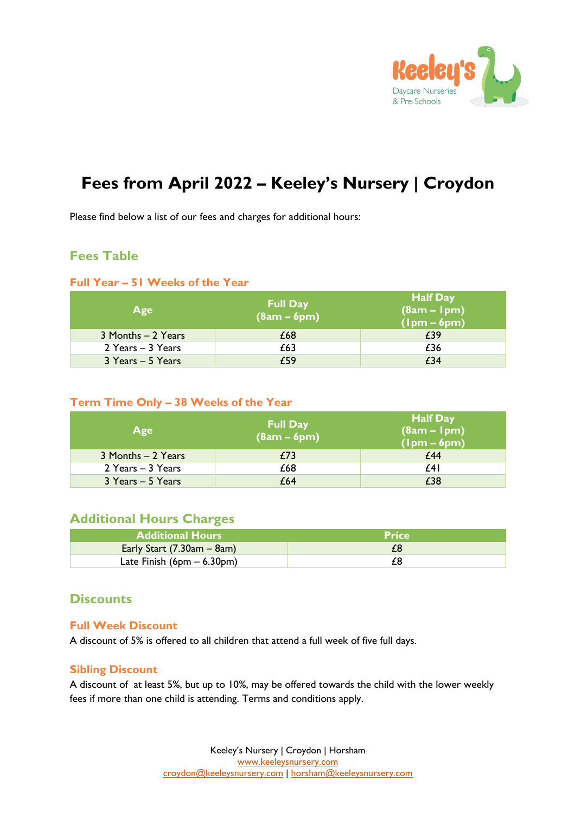

# **Fees from April 2022 – Keeley's Nursery | Croydon**

Please find below a list of our fees and charges for additional hours:

### **Fees Table**

#### **Full Year – 51 Weeks of the Year**

| Age                | <b>Full Day</b><br>$(8am - 6pm)$ | <b>Half Day</b><br>$(gam - 1pm)$<br>$(lpm - 6pm)$ |
|--------------------|----------------------------------|---------------------------------------------------|
| 3 Months - 2 Years | £68                              | £39                                               |
| 2 Years - 3 Years  | £63                              | £36                                               |
| 3 Years - 5 Years  | £59                              | £34                                               |

#### **Term Time Only – 38 Weeks of the Year**

| Age                | <b>Full Day</b><br>$(8am - 6pm)$ | <b>Half Day</b><br>$(8am - 1pm)$<br>$(lpm - 6pm)$ |
|--------------------|----------------------------------|---------------------------------------------------|
| 3 Months - 2 Years | £73                              | £44                                               |
| 2 Years - 3 Years  | £68                              | £41                                               |
| 3 Years - 5 Years  | £64                              | £38                                               |

### **Additional Hours Charges**

| <b>Additional Hours</b>      | <b>Price</b> |
|------------------------------|--------------|
| Early Start $(7.30am - 8am)$ |              |
| Late Finish $(6pm - 6.30pm)$ |              |

### **Discounts**

#### **Full Week Discount**

A discount of 5% is offered to all children that attend a full week of five full days.

#### **Sibling Discount**

A discount of at least 5%, but up to 10%, may be offered towards the child with the lower weekly fees if more than one child is attending. Terms and conditions apply.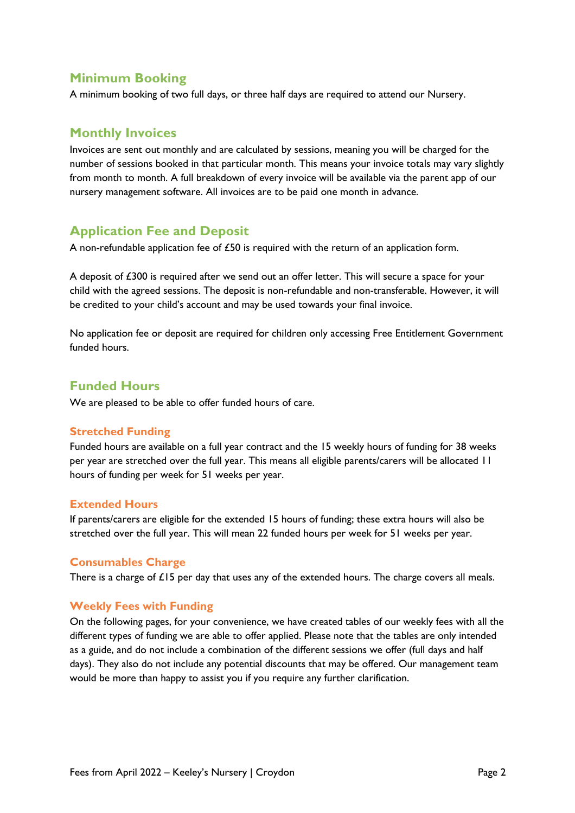### **Minimum Booking**

A minimum booking of two full days, or three half days are required to attend our Nursery.

### **Monthly Invoices**

Invoices are sent out monthly and are calculated by sessions, meaning you will be charged for the number of sessions booked in that particular month. This means your invoice totals may vary slightly from month to month. A full breakdown of every invoice will be available via the parent app of our nursery management software. All invoices are to be paid one month in advance.

## **Application Fee and Deposit**

A non-refundable application fee of £50 is required with the return of an application form.

A deposit of £300 is required after we send out an offer letter. This will secure a space for your child with the agreed sessions. The deposit is non-refundable and non-transferable. However, it will be credited to your child's account and may be used towards your final invoice.

No application fee or deposit are required for children only accessing Free Entitlement Government funded hours.

### **Funded Hours**

We are pleased to be able to offer funded hours of care.

#### **Stretched Funding**

Funded hours are available on a full year contract and the 15 weekly hours of funding for 38 weeks per year are stretched over the full year. This means all eligible parents/carers will be allocated 11 hours of funding per week for 51 weeks per year.

#### **Extended Hours**

If parents/carers are eligible for the extended 15 hours of funding; these extra hours will also be stretched over the full year. This will mean 22 funded hours per week for 51 weeks per year.

#### **Consumables Charge**

There is a charge of  $£15$  per day that uses any of the extended hours. The charge covers all meals.

#### **Weekly Fees with Funding**

On the following pages, for your convenience, we have created tables of our weekly fees with all the different types of funding we are able to offer applied. Please note that the tables are only intended as a guide, and do not include a combination of the different sessions we offer (full days and half days). They also do not include any potential discounts that may be offered. Our management team would be more than happy to assist you if you require any further clarification.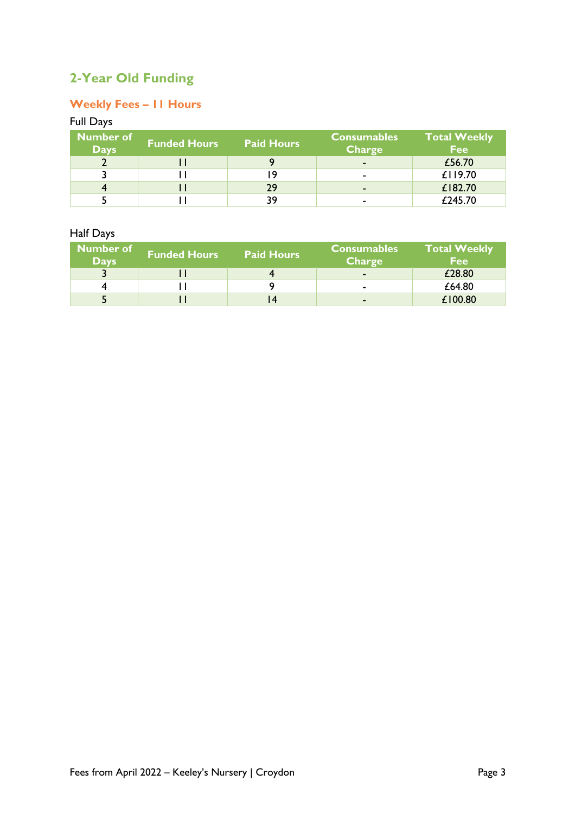# **2-Year Old Funding**

### **Weekly Fees – 11 Hours**

### Full Days

| <b>Number of</b><br><b>Days</b> | <b>Funded Hours</b> | <b>Paid Hours</b> | <b>Consumables</b><br>Charge | <b>Total Weekly</b><br><b>Fee</b> |
|---------------------------------|---------------------|-------------------|------------------------------|-----------------------------------|
|                                 |                     |                   | $\sim$                       | £56.70                            |
|                                 |                     |                   | ۰                            | £119.70                           |
|                                 |                     | 29                | $\sim$                       | £182.70                           |
|                                 |                     | 39                | $\blacksquare$               | £245.70                           |

### Half Days

| Number of<br><b>Days</b> | <b>Funded Hours</b> | <b>Paid Hours</b> | <b>Consumables</b><br><b>Charge</b> | <b>Total Weekly</b><br><b>Fee</b> |
|--------------------------|---------------------|-------------------|-------------------------------------|-----------------------------------|
|                          |                     |                   | $\overline{\phantom{a}}$            | £28.80                            |
|                          |                     |                   | $\blacksquare$                      | £64.80                            |
|                          |                     |                   | $\sim$                              | £100.80                           |